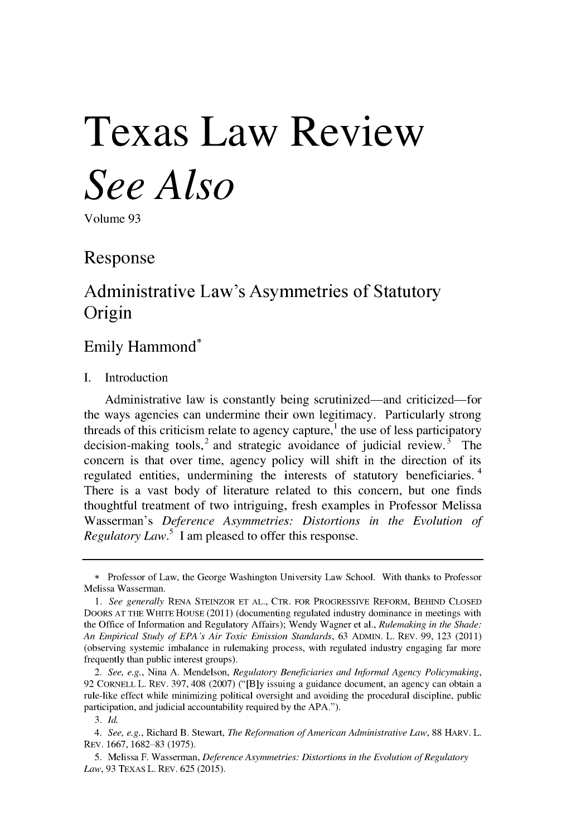# **Texas Law Review** *See Also*

Volume 93

## Response

# Administrative Law's Asymmetries of Statutory Origin

### Emily Hammond\*

**I.** Introduction

Administrative law is constantly being scrutinized—and criticized—for the ways agencies can undermine their own legitimacy. Particularly strong threads of this criticism relate to agency capture,<sup>1</sup> the use of less participatory decision-making tools,  $2$  and strategic avoidance of judicial review.  $3$  The concern is that over time, agency policy will shift in the direction of its regulated entities, undermining the interests of statutory beneficiaries.<sup>4</sup> There is a vast body of literature related to this concern, but one finds thoughtful treatment of two intriguing, fresh examples in Professor Melissa Wasserman's *Deference Asymmetries: Distortions in the Evolution of Regulatory Law.5* **I** am pleased to offer this response.

<sup>\*</sup> Professor of Law, the George Washington University Law School. With thanks to Professor Melissa Wasserman.

*<sup>1.</sup> See generally* RENA STEINZOR **ET** AL., CTR. FOR PROGRESSIVE REFORM, BEHIND CLOSED DOORS AT THE WHITE HOUSE (2011) (documenting regulated industry dominance in meetings with the Office of Information and Regulatory Affairs); Wendy Wagner et al., *Rulemaking in the Shade: An Empirical Study of EPA's Air Toxic Emission Standards,* 63 ADMIN. L. REv. 99, 123 (2011) (observing systemic imbalance in rulemaking process, with regulated industry engaging far more frequently than public interest groups).

*<sup>2.</sup> See, e.g.,* Nina A. Mendelson, *Regulatory Beneficiaries and Informal Agency Policymaking,* 92 CORNELL L. REV. 397, 408 (2007) **("[B]y** issuing a guidance document, an agency can obtain a rule-like effect while minimizing political oversight and avoiding the procedural discipline, public participation, and judicial accountability required by the APA.").

*<sup>3.</sup> Id.*

*<sup>4.</sup> See, e.g.,* Richard B. Stewart, *The Reformation of American Administrative Law,* 88 HARV. L. REV. 1667, 1682-83 (1975).

<sup>5.</sup> Melissa F. Wasserman, *Deference Asymmetries: Distortions in the Evolution of Regulatory Law,* 93 TEXAS L. REV. 625 (2015).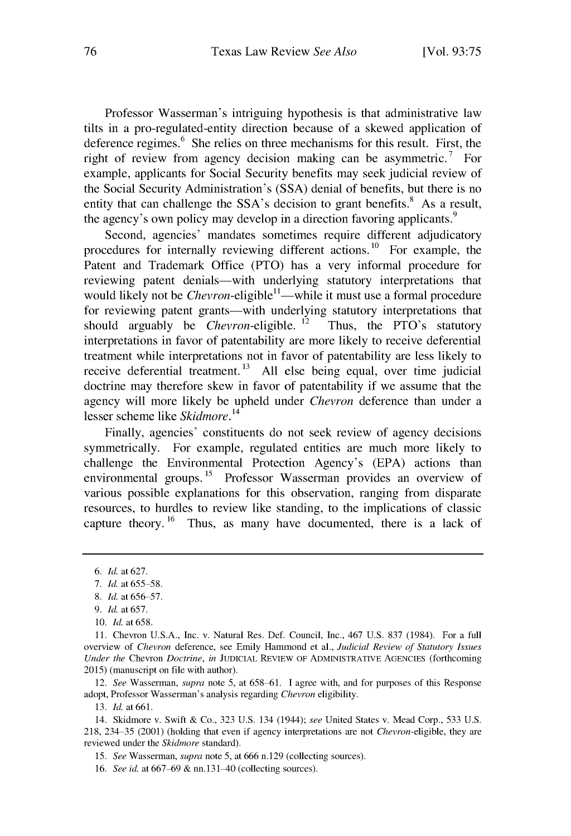Professor Wasserman's intriguing hypothesis is that administrative law tilts in a pro-regulated-entity direction because of a skewed application of deference regimes. $6$  She relies on three mechanisms for this result. First, the right of review from agency decision making can be asymmetric.<sup>7</sup> For example, applicants for Social Security benefits may seek judicial review of the Social Security Administration's (SSA) denial of benefits, but there is no entity that can challenge the SSA's decision to grant benefits.<sup>8</sup> As a result, the agency's own policy may develop in a direction favoring applicants.<sup>9</sup>

Second, agencies' mandates sometimes require different adjudicatory procedures for internally reviewing different actions.<sup>10</sup> For example, the Patent and Trademark Office (PTO) has a very informal procedure for reviewing patent denials—with underlying statutory interpretations that would likely not be *Chevron-*eligible<sup>11</sup>—while it must use a formal procedure for reviewing patent grants-with underlying statutory interpretations that should arguably be *Chevron-eligible*.<sup>12</sup> Thus, the PTO's statutory interpretations in favor of patentability are more likely to receive deferential treatment while interpretations not in favor of patentability are less likely to receive deferential treatment.<sup>13</sup> All else being equal, over time judicial doctrine may therefore skew in favor of patentability if we assume that the agency will more likely be upheld under *Chevron* deference than under a lesser scheme like *Skidmore. <sup>14</sup>*

Finally, agencies' constituents do not seek review of agency decisions symmetrically. For example, regulated entities are much more likely to challenge the Environmental Protection Agency's (EPA) actions than environmental groups. **15** Professor Wasserman provides an overview of various possible explanations for this observation, ranging from disparate resources, to hurdles to review like standing, to the implications of classic capture theory. **16** Thus, as many have documented, there is a lack of

12. *See* Wasserman, *supra* note 5, at 658 61. I agree with, and for purposes of this Response adopt, Professor Wasserman's analysis regarding *Chevron* eligibility.

13. *Id.* at661.

14. Skidmore v. Swift & Co., 323 U.S. 134 (1944); *see* United States v. Mead Corp., 533 U.S. 218, 234 35 (2001) (holding that even if agency interpretations are not *Chevron-eligible,* they are reviewed under the *Skidmore* standard).

15. *See* Wasserman, *supra* note 5, at 666 n.129 (collecting sources).

16. *See id.* at 667-69 & nn.131-40 (collecting sources).

*<sup>6.</sup> Id.* at 627.

*<sup>7.</sup> Id.* at *655 58.*

<sup>8.</sup> *Id.* at 656–57.

*<sup>9.</sup> Id.* at 657.

<sup>10.</sup> *Id.* at 658.

<sup>11.</sup> Chevron U.S.A., Inc. v. Natural Res. Def. Council, Inc., 467 U.S. 837 (1984). For a full overview of *Chevron* deference, see Emily Hammond et al., *Judicial Review of Statutory Issues Under the* Chevron *Doctrine, in* JUDICIAL REVIEW OF ADMINISTRATIVE AGENCIES (forthcoming 2015) (manuscript on file with author).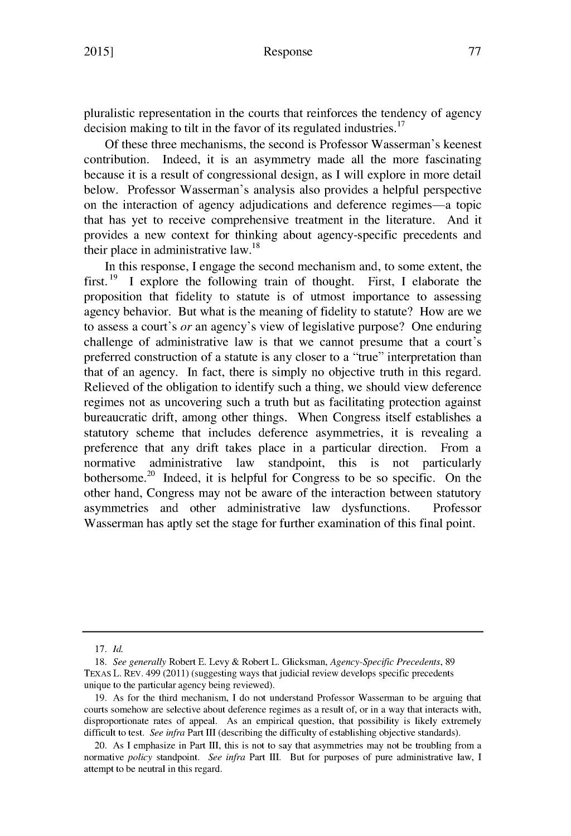pluralistic representation in the courts that reinforces the tendency of agency decision making to tilt in the favor of its regulated industries.<sup>17</sup>

Of these three mechanisms, the second is Professor Wasserman's keenest contribution. Indeed, it is an asymmetry made all the more fascinating because it is a result of congressional design, as I will explore in more detail below. Professor Wasserman's analysis also provides a helpful perspective on the interaction of agency adjudications and deference regimes-a topic that has yet to receive comprehensive treatment in the literature. And it provides a new context for thinking about agency-specific precedents and their place in administrative law. $^{18}$ 

In this response, I engage the second mechanism and, to some extent, the first. 19 **I** explore the following train of thought. First, I elaborate the proposition that fidelity to statute is of utmost importance to assessing agency behavior. But what is the meaning of fidelity to statute? How are we to assess a court's *or* an agency's view of legislative purpose? One enduring challenge of administrative law is that we cannot presume that a court's preferred construction of a statute is any closer to a "true" interpretation than that of an agency. In fact, there is simply no objective truth in this regard. Relieved of the obligation to identify such a thing, we should view deference regimes not as uncovering such a truth but as facilitating protection against bureaucratic drift, among other things. When Congress itself establishes a statutory scheme that includes deference asymmetries, it is revealing a preference that any drift takes place in a particular direction. From a normative administrative law standpoint, this is not particularly bothersome.<sup>20</sup> Indeed, it is helpful for Congress to be so specific. On the other hand, Congress may not be aware of the interaction between statutory asymmetries and other administrative law dysfunctions. Professor Wasserman has aptly set the stage for further examination of this final point.

<sup>17.</sup> *Id.*

<sup>18.</sup> *See generally* Robert **E.** Levy & Robert L. Glicksman, *Agency-Specific Precedents,* 89 TEXAS L. REv. 499 (2011) (suggesting ways that judicial review develops specific precedents unique to the particular agency being reviewed).

<sup>19.</sup> As for the third mechanism, I do not understand Professor Wasserman to be arguing that courts somehow are selective about deference regimes as a result of, or in a way that interacts with, disproportionate rates of appeal. As an empirical question, that possibility is likely extremely difficult to test. *See infra* Part III (describing the difficulty of establishing objective standards).

<sup>20.</sup> As I emphasize in Part III, this is not to say that asymmetries may not be troubling from a normative *policy* standpoint. *See infra* Part III. But for purposes of pure administrative law, I attempt to be neutral in this regard.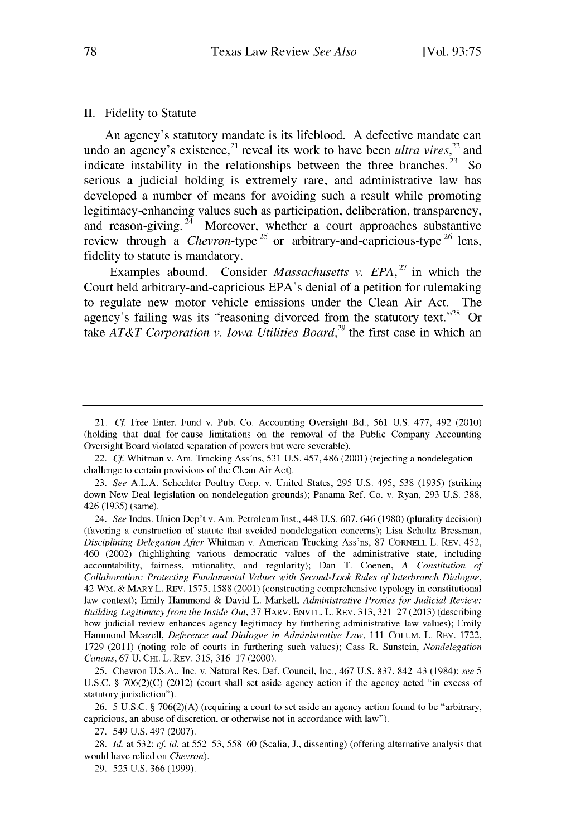#### **II.** Fidelity to Statute

An agency's statutory mandate is its lifeblood. **A** defective mandate can undo an agency's existence,<sup>21</sup> reveal its work to have been *ultra vires*,<sup>22</sup> and indicate instability in the relationships between the three branches.<sup>23</sup> So serious a judicial holding is extremely rare, and administrative law has developed a number of means for avoiding such a result while promoting legitimacy-enhancing values such as participation, deliberation, transparency, and reason-giving. **24** Moreover, whether a court approaches substantive review through a *Chevron-type*<sup>25</sup> or arbitrary-and-capricious-type<sup>26</sup> lens, fidelity to statute is mandatory.

Examples abound. Consider *Massachusetts v. EPA*, <sup>27</sup> in which the Court held arbitrary-and-capricious EPA's denial of a petition for rulemaking to regulate new motor vehicle emissions under the Clean Air Act. The agency's failing was its "reasoning divorced from the statutory text."<sup>28</sup> Or take *AT&T Corporation v. Iowa Utilities Board,29* the first case in which an

23. *See* **A.L.A.** Schechter Poultry Corp. v. United States, 295 U.S. 495, 538 (1935) (striking down New Deal legislation on nondelegation grounds); Panama Ref. Co. v. Ryan, 293 U.S. 388, 426 (1935) (same).

24. *See* Indus. Union Dep't v. Am. Petroleum Inst., 448 U.S. 607, 646 (1980) (plurality decision) (favoring a construction of statute that avoided nondelegation concerns); Lisa Schultz Bressman, *Disciplining Delegation After* Whitman v. American Trucking Ass'ns, 87 CORNELL L. REv. 452, 460 (2002) (highlighting various democratic values of the administrative state, including accountability, fairness, rationality, and regularity); Dan T. Coenen, *A Constitution of Collaboration: Protecting Fundamental Values with Second-Look Rules of Interbranch Dialogue,* 42 WM. & MARY L. REv. 1575, 1588 (2001) (constructing comprehensive typology in constitutional law context); Emily Hammond & David L. Markell, *Administrative Proxies for Judicial Review: Building Legitimacy from the Inside-Out,* 37 HARv. ENvTL. L. REv. 313, 321 **27** (2013) (describing how judicial review enhances agency legitimacy by furthering administrative law values); Emily Hammond Meazell, *Deference and Dialogue in Administrative Law,* 111 COLUM. L. REv. 1722, 1729 (2011) (noting role of courts in furthering such values); Cass R. Sunstein, *Nondelegation* Canons, 67 U. CHI. L. REV. 315, 316-17 (2000).

25. Chevron U.S.A., Inc. v. Natural Res. Def. Council, Inc., 467 U.S. 837, 842-43 (1984); *see 5* U.S.C. § 706(2)(C) (2012) (court shall set aside agency action if the agency acted "in excess of statutory jurisdiction").

26. 5 U.S.C. § 706(2)(A) (requiring a court to set aside an agency action found to be "arbitrary, capricious, an abuse of discretion, or otherwise not in accordance with law").

27. 549 U.S. 497 (2007).

29. 525 U.S. 366 (1999).

<sup>21.</sup> *Cf* Free Enter. Fund v. Pub. Co. Accounting Oversight Bd., 561 U.S. 477, 492 (2010) (holding that dual for-cause limitations on the removal of the Public Company Accounting Oversight Board violated separation of powers but were severable).

<sup>22.</sup> *Cf.* Whitman v. Am. Trucking Ass'ns, 531 U.S. 457, 486 (2001) (rejecting a nondelegation challenge to certain provisions of the Clean Air Act).

<sup>28.</sup> *Id.* at 532; *cf id.* at 552 **53,** 558 60 (Scalia, J., dissenting) (offering alternative analysis that would have relied on *Chevron).*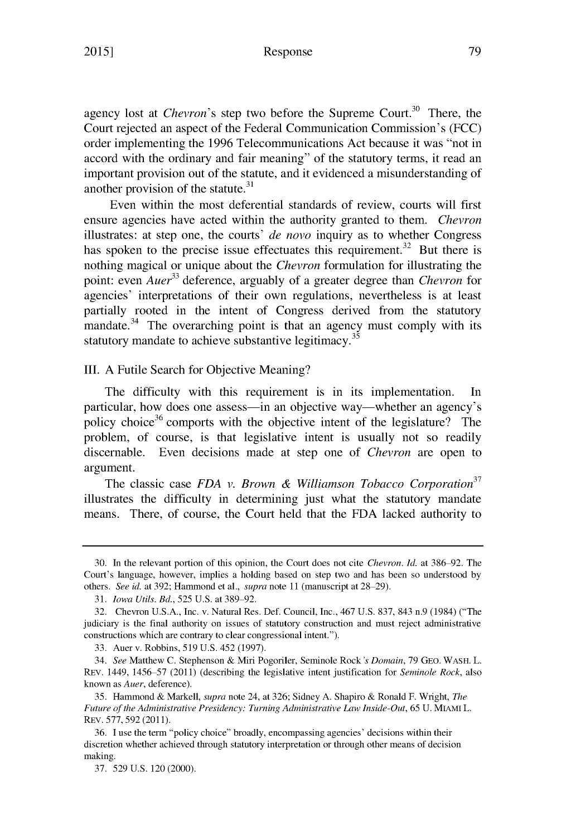#### Response

agency lost at *Chevron's* step two before the Supreme Court.<sup>30</sup> There, the Court rejected an aspect of the Federal Communication Commission's (FCC) order implementing the 1996 Telecommunications Act because it was "not in accord with the ordinary and fair meaning" of the statutory terms, it read an important provision out of the statute, and it evidenced a misunderstanding of **<sup>31</sup>** another provision of the statute.

Even within the most deferential standards of review, courts will first ensure agencies have acted within the authority granted to them. *Chevron* illustrates: at step one, the courts' *de novo* inquiry as to whether Congress has spoken to the precise issue effectuates this requirement.<sup>32</sup> But there is nothing magical or unique about the *Chevron* formulation for illustrating the point: even *Auer*<sup>33</sup> deference, arguably of a greater degree than *Chevron* for agencies' interpretations of their own regulations, nevertheless is at least partially rooted in the intent of Congress derived from the statutory mandate. $34$  The overarching point is that an agency must comply with its statutory mandate to achieve substantive legitimacy.<sup>35</sup>

III. A Futile Search for Objective Meaning?

The difficulty with this requirement is in its implementation. In particular, how does one assess—in an objective way—whether an agency's policy choice<sup>36</sup> comports with the objective intent of the legislature? The problem, of course, is that legislative intent is usually not so readily discernable. Even decisions made at step one of *Chevron* are open to argument.

The classic case *FDA v. Brown & Williamson Tobacco Corporation <sup>37</sup>* illustrates the difficulty in determining just what the statutory mandate means. There, of course, the Court held that the FDA lacked authority to

<sup>30.</sup> In the relevant portion of this opinion, the Court does not cite *Chevron. Id.* at 386 **92.** The Court's language, however, implies a holding based on step two and has been so understood by others. *See id.* at 392; Hammond et al., *supra* note 11 (manuscript at 28–29).

<sup>31.</sup> *Iowa Utils. Bd.*, 525 U.S. at 389-92.

<sup>32.</sup> Chevron U.S.A., Inc. v. Natural Res. Def. Council, Inc., 467 U.S. 837, 843 n.9 (1984) ("The judiciary is the final authority on issues of statutory construction and must reject administrative constructions which are contrary to clear congressional intent.").

<sup>33.</sup> Auer v. Robbins, 519 U.S. 452 (1997).

<sup>34.</sup> *See* Matthew C. Stephenson & Miri Pogoriler, Seminole Rock's *Domain,* 79 GEO. WASH. L. REV. 1449, 1456 57 (2011) (describing the legislative intent justification for *Seminole Rock,* also known as *Auer,* deference).

<sup>35.</sup> Hammond & Markell, *supra* note 24, at 326; Sidney A. Shapiro & Ronald F. Wright, *The Future of the Administrative Presidency: Turning Administrative Law Inside-Out,* 65 U. MIAMI L. REV. 577, 592 (2011).

<sup>36.</sup> I use the term "policy choice" broadly, encompassing agencies' decisions within their discretion whether achieved through statutory interpretation or through other means of decision making.

<sup>37. 529</sup> U.S. 120 (2000).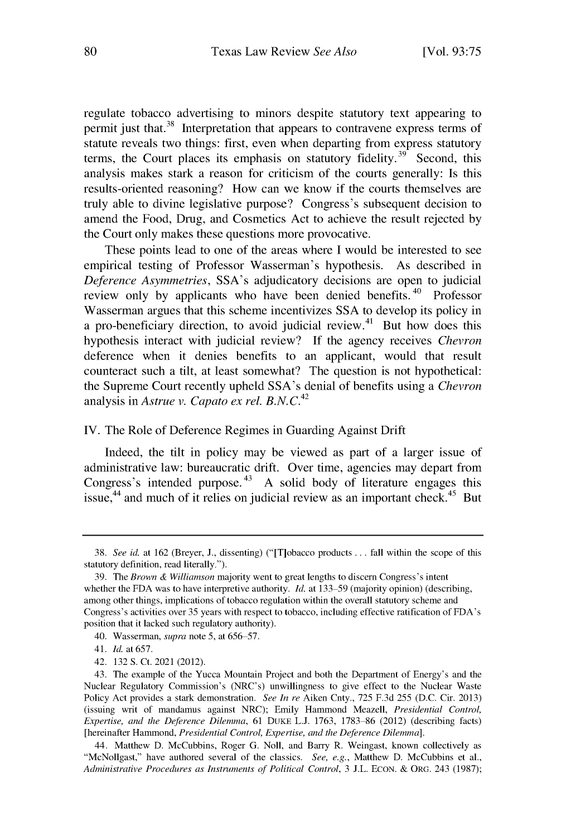regulate tobacco advertising to minors despite statutory text appearing to permit just that.<sup>38</sup> Interpretation that appears to contravene express terms of statute reveals two things: first, even when departing from express statutory terms, the Court places its emphasis on statutory fidelity.<sup>39</sup> Second, this analysis makes stark a reason for criticism of the courts generally: Is this results-oriented reasoning? How can we know if the courts themselves are truly able to divine legislative purpose? Congress's subsequent decision to amend the Food, Drug, and Cosmetics Act to achieve the result rejected **by** the Court only makes these questions more provocative.

These points lead to one of the areas where **I** would be interested to see empirical testing of Professor Wasserman's hypothesis. As described in *Deference Asymmetries,* SSA's adjudicatory decisions are open to judicial review only by applicants who have been denied benefits.<sup>40</sup> Professor Wasserman argues that this scheme incentivizes **SSA** to develop its policy in a pro-beneficiary direction, to avoid judicial review. 4' But how does this hypothesis interact with judicial review? **If** the agency receives *Chevron* deference when it denies benefits to an applicant, would that result counteract such a tilt, at least somewhat? The question is not hypothetical: the Supreme Court recently upheld SSA's denial of benefits using a *Chevron* analysis in *Astrue v. Capato ex rel. B.N.C.*<sup>42</sup>

#### IV. The Role of Deference Regimes in Guarding Against Drift

Indeed, the tilt in policy may be viewed as part of a larger issue of administrative law: bureaucratic drift. Over time, agencies may depart from Congress's intended purpose.<sup>43</sup> A solid body of literature engages this issue,<sup>44</sup> and much of it relies on judicial review as an important check.<sup>45</sup> But

<sup>38.</sup> *See id.* at 162 (Breyer, J., dissenting) ("[T]obacco products **...** fall within the scope of this statutory definition, read literally.").

<sup>39.</sup> The *Brown & Williamson* majority went to great lengths to discern Congress's intent whether the FDA was to have interpretive authority. *Id.* at 133–59 (majority opinion) (describing, among other things, implications of tobacco regulation within the overall statutory scheme and Congress's activities over **35** years with respect to tobacco, including effective ratification of FDA's position that it lacked such regulatory authority).

<sup>40.</sup> Wasserman, *supra* note 5, at 656–57.

<sup>41.</sup> *Id.* at 657.

<sup>42. 132</sup> S. Ct. 2021 (2012).

<sup>43.</sup> The example of the Yucca Mountain Project and both the Department of Energy's and the Nuclear Regulatory Commission's (NRC's) unwillingness to give effect to the Nuclear Waste Policy Act provides a stark demonstration. *See In re* Aiken Cnty., 725 F.3d 255 (D.C. Cir. 2013) (issuing writ of mandamus against NRC); Emily Hammond Meazell, *Presidential Control, Expertise, and the Deference Dilemma, 61 DUKE L.J. 1763, 1783-86 (2012)* (describing facts) [hereinafter Hammond, *Presidential Control, Expertise, and the Deference Dilemma].*

<sup>44.</sup> Matthew D. McCubbins, Roger G. Noll, and Barry R. Weingast, known collectively as "McNollgast," have authored several of the classics. *See, e.g.,* Matthew D. McCubbins et al., *Administrative Procedures as Instruments of Political Control,* 3 J.L. ECON. & ORG. 243 (1987);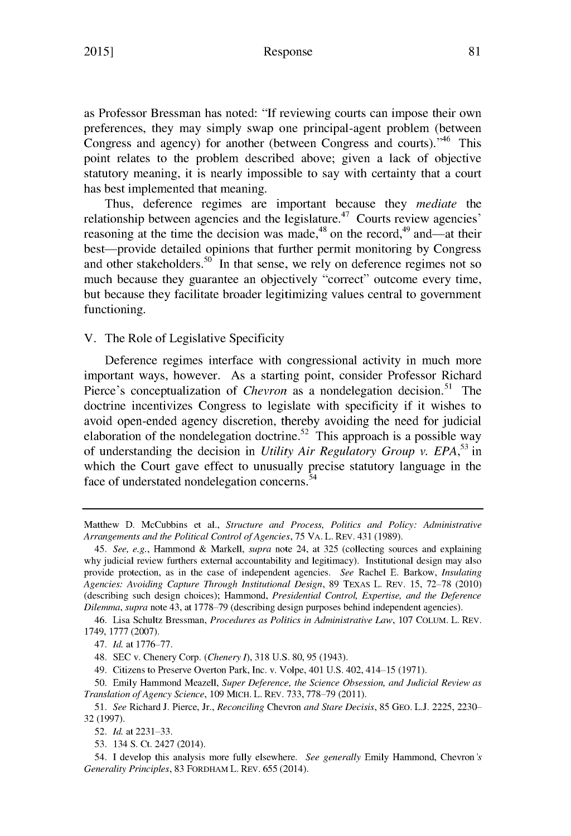#### Response

as Professor Bressman has noted: "If reviewing courts can impose their own preferences, they may simply swap one principal-agent problem (between Congress and agency) for another (between Congress and courts).<sup>46</sup> This point relates to the problem described above; given a lack of objective statutory meaning, it is nearly impossible to say with certainty that a court has best implemented that meaning.

Thus, deference regimes are important because they *mediate* the relationship between agencies and the legislature.<sup>47</sup> Courts review agencies' reasoning at the time the decision was made, $48$  on the record, $49$  and—at their best—provide detailed opinions that further permit monitoring by Congress and other stakeholders.<sup>50</sup> In that sense, we rely on deference regimes not so much because they guarantee an objectively "correct" outcome every time, but because they facilitate broader legitimizing values central to government functioning.

V. The Role of Legislative Specificity

Deference regimes interface with congressional activity in much more important ways, however. As a starting point, consider Professor Richard Pierce's conceptualization of *Chevron* as a nondelegation decision.<sup>51</sup> The doctrine incentivizes Congress to legislate with specificity if it wishes to avoid open-ended agency discretion, thereby avoiding the need for judicial elaboration of the nondelegation doctrine.<sup>52</sup> This approach is a possible way of understanding the decision in *Utility Air Regulatory Group v. EPA,53* in which the Court gave effect to unusually precise statutory language in the face of understated nondelegation concerns.<sup>54</sup>

46. Lisa Schultz Bressman, *Procedures as Politics in Administrative Law,* 107 CoLUM. L. REV. 1749, 1777 (2007).

48. SEC v. Chenery Corp. *(Chenery 1),* 318 U.S. 80,95 (1943).

49. Citizens to Preserve Overton Park, Inc. v. Volpe, 401 U.S. 402, 414 15 (1971).

50. Emily Hammond Meazell, *Super Deference, the Science Obsession, and Judicial Review as Translation of Agency Science,* 109 MICH. L. REV. 733, 778 **79** (2011).

*51. See* Richard J. Pierce, Jr., *Reconciling* Chevron *and Stare Decisis,* 85 GEO. L.J. 2225, **2230-** 32 (1997).

52. *Id.* at 2231-33.

53. 134 **S.** Ct. 2427 (2014).

54. I develop this analysis more fully elsewhere. *See generally* Emily Hammond, Chevron's *Generality Principles,* 83 FORDHAM L. REV. 655 (2014).

Matthew D. McCubbins et al., *Structure and Process, Politics and Policy: Administrative Arrangements and the Political Control ofAgencies,* 75 VA. L. REV. 431 (1989).

*<sup>45.</sup> See, e.g.,* Hammond & Markell, *supra* note 24, at 325 (collecting sources and explaining why judicial review furthers external accountability and legitimacy). Institutional design may also provide protection, as in the case of independent agencies. *See* Rachel **E.** Barkow, *Insulating* Agencies: Avoiding Capture Through Institutional Design, 89 TEXAS L. REV. 15, 72-78 (2010) (describing such design choices); Hammond, *Presidential Control, Expertise, and the Deference Dilemma, supra* note 43, at 1778–79 (describing design purposes behind independent agencies).

<sup>47.</sup> *Id.* at 1776-77.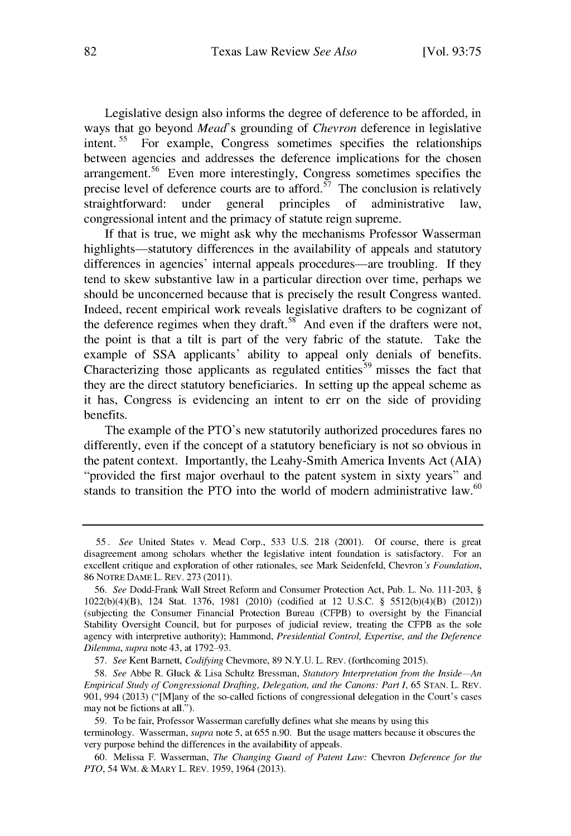Legislative design also informs the degree of deference to be afforded, in ways that go beyond *Mead's* grounding of *Chevron* deference in legislative intent.<sup>55</sup> For example, Congress sometimes specifies the relationships between agencies and addresses the deference implications for the chosen arrangement.<sup>56</sup> Even more interestingly, Congress sometimes specifies the precise level of deference courts are to afford.<sup> $57$ </sup> The conclusion is relatively straightforward: under general principles of administrative law, congressional intent and the primacy of statute reign supreme.

If that is true, we might ask why the mechanisms Professor Wasserman highlights—statutory differences in the availability of appeals and statutory differences in agencies' internal appeals procedures—are troubling. If they tend to skew substantive law in a particular direction over time, perhaps we should be unconcerned because that is precisely the result Congress wanted. Indeed, recent empirical work reveals legislative drafters to be cognizant of the deference regimes when they draft.<sup>58</sup> And even if the drafters were not, the point is that a tilt is part of the very fabric of the statute. Take the example of SSA applicants' ability to appeal only denials of benefits. Characterizing those applicants as regulated entities 59 misses the fact that they are the direct statutory beneficiaries. In setting up the appeal scheme as it has, Congress is evidencing an intent to err on the side of providing benefits.

The example of the PTO's new statutorily authorized procedures fares no differently, even if the concept of a statutory beneficiary is not so obvious in the patent context. Importantly, the Leahy-Smith America Invents Act (AIA) 'provided the first major overhaul to the patent system in sixty years" and stands to transition the PTO into the world of modern administrative law.<sup>60</sup>

*<sup>55.</sup> See* United States v. Mead Corp., 533 U.S. 218 (2001). Of course, there is great disagreement among scholars whether the legislative intent foundation is satisfactory. For an excellent critique and exploration of other rationales, see Mark Seidenfeld, Chevron's *Foundation,* 86 NOTRE DAME L. REV. 273 (2011).

*<sup>56.</sup> See* Dodd-Frank Wall Street Reform and Consumer Protection Act, Pub. L. No. 111-203, § 1022(b)(4)(B), 124 Stat. 1376, 1981 (2010) (codified at 12 U.S.C. § 5512(b)(4)(B) (2012)) (subjecting the Consumer Financial Protection Bureau (CFPB) to oversight by the Financial Stability Oversight Council, but for purposes of judicial review, treating the CFPB as the sole agency with interpretive authority); Hammond, *Presidential Control, Expertise, and the Deference Dilemma, supra* note 43, at 1792 **93.**

*<sup>57.</sup> See* Kent Barnett, *Codifying* Chevmore, 89 N.Y.U. L. REV. (forthcoming 2015).

*<sup>58.</sup> See* Abbe R. Gluck & Lisa Schultz Bressman, *Statutory Interpretation from the Inside An Empirical Study of Congressional Drafting, Delegation, and the Canons: Part 1,* 65 STAN. L. REV. 901, 994 (2013) ("NM]any of the so-called fictions of congressional delegation in the Court's cases may not be fictions at all.").

<sup>59.</sup> To be fair, Professor Wasserman carefully defines what she means by using this terminology. Wasserman, *supra* note 5, at 655 n.90. But the usage matters because it obscures the very purpose behind the differences in the availability of appeals.

<sup>60.</sup> Melissa F. Wasserman, *The Changing Guard of Patent Law:* Chevron *Deference for the PTO,* 54 WM. & MARY L. REV. 1959, 1964 (2013).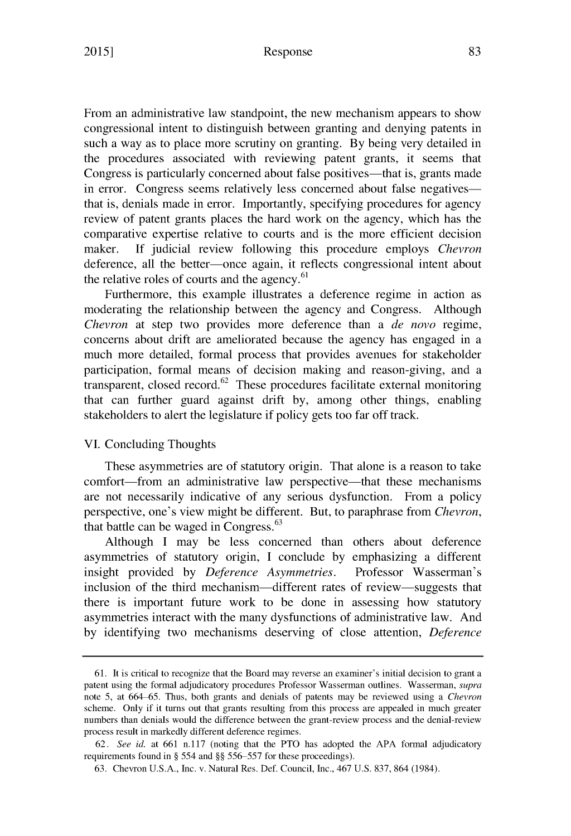From an administrative law standpoint, the new mechanism appears to show congressional intent to distinguish between granting and denying patents in such a way as to place more scrutiny on granting. By being very detailed in the procedures associated with reviewing patent grants, it seems that Congress is particularly concerned about false positives—that is, grants made in error. Congress seems relatively less concerned about false negativesthat is, denials made in error. Importantly, specifying procedures for agency review of patent grants places the hard work on the agency, which has the comparative expertise relative to courts and is the more efficient decision maker. If judicial review following this procedure employs *Chevron* deference, all the better—once again, it reflects congressional intent about the relative roles of courts and the agency.<sup>61</sup>

Furthermore, this example illustrates a deference regime in action as moderating the relationship between the agency and Congress. Although *Chevron* at step two provides more deference than a *de novo* regime, concerns about drift are ameliorated because the agency has engaged in a much more detailed, formal process that provides avenues for stakeholder participation, formal means of decision making and reason-giving, and a transparent, closed record.<sup>62</sup> These procedures facilitate external monitoring that can further guard against drift by, among other things, enabling stakeholders to alert the legislature if policy gets too far off track.

#### VI. Concluding Thoughts

These asymmetries are of statutory origin. That alone is a reason to take comfort—from an administrative law perspective—that these mechanisms are not necessarily indicative of any serious dysfunction. From a policy perspective, one's view might be different. But, to paraphrase from *Chevron,* **<sup>63</sup>** that battle can be waged in Congress.

Although I may be less concerned than others about deference asymmetries of statutory origin, I conclude by emphasizing a different insight provided by *Deference Asymmetries.* Professor Wasserman's inclusion of the third mechanism—different rates of review—suggests that there is important future work to be done in assessing how statutory asymmetries interact with the many dysfunctions of administrative law. And by identifying two mechanisms deserving of close attention, *Deference*

<sup>61.</sup> It is critical to recognize that the Board may reverse an examiner's initial decision to grant a patent using the formal adjudicatory procedures Professor Wasserman outlines. Wasserman, *supra* note 5, at 664 65. Thus, both grants and denials of patents may be reviewed using a *Chevron* scheme. Only if it turns out that grants resulting from this process are appealed in much greater numbers than denials would the difference between the grant-review process and the denial-review process result in markedly different deference regimes.

<sup>62.</sup> *See id.* at 661 n.117 (noting that the PTO has adopted the APA formal adjudicatory requirements found in § 554 and §§ 556–557 for these proceedings).

<sup>63.</sup> Chevron U.S.A., Inc. v. Natural Res. Def. Council, Inc., 467 U.S. 837, 864 (1984).